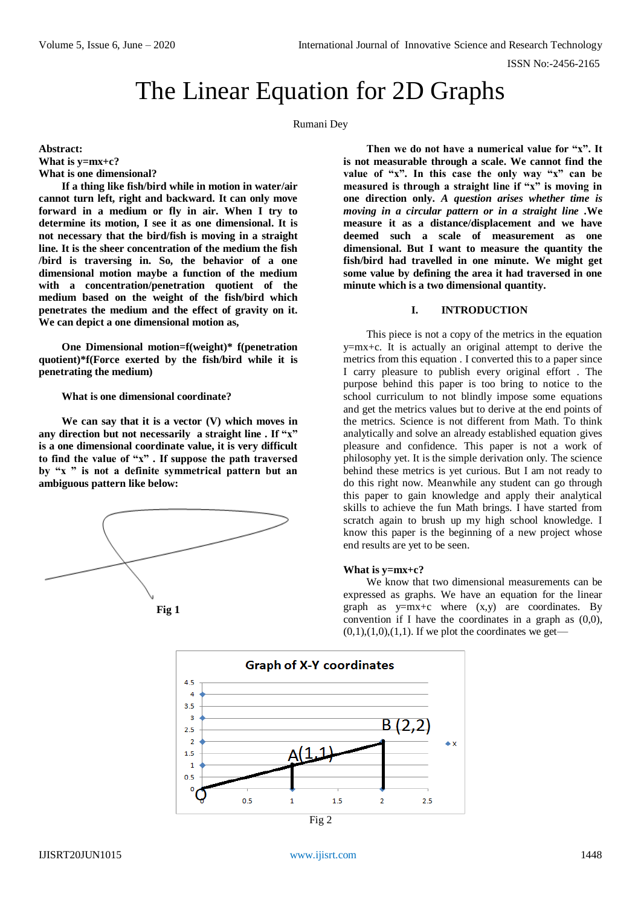ISSN No:-2456-2165

# The Linear Equation for 2D Graphs

Rumani Dey

**Abstract: What is y=mx+c? What is one dimensional?**

**If a thing like fish/bird while in motion in water/air cannot turn left, right and backward. It can only move forward in a medium or fly in air. When I try to determine its motion, I see it as one dimensional. It is not necessary that the bird/fish is moving in a straight line. It is the sheer concentration of the medium the fish /bird is traversing in. So, the behavior of a one dimensional motion maybe a function of the medium with a concentration/penetration quotient of the medium based on the weight of the fish/bird which penetrates the medium and the effect of gravity on it. We can depict a one dimensional motion as,**

**One Dimensional motion=f(weight)\* f(penetration quotient)\*f(Force exerted by the fish/bird while it is penetrating the medium)**

**What is one dimensional coordinate?**

**We can say that it is a vector (V) which moves in any direction but not necessarily a straight line . If "x" is a one dimensional coordinate value, it is very difficult to find the value of "x" . If suppose the path traversed by "x " is not a definite symmetrical pattern but an ambiguous pattern like below:**





**Then we do not have a numerical value for "x". It is not measurable through a scale. We cannot find the value of "x". In this case the only way "x" can be**  measured is through a straight line if "x" is moving in **one direction only.** *A question arises whether time is moving in a circular pattern or in a straight line .***We measure it as a distance/displacement and we have deemed such a scale of measurement as one dimensional. But I want to measure the quantity the fish/bird had travelled in one minute. We might get some value by defining the area it had traversed in one minute which is a two dimensional quantity.**

### **I. INTRODUCTION**

This piece is not a copy of the metrics in the equation y=mx+c. It is actually an original attempt to derive the metrics from this equation . I converted this to a paper since I carry pleasure to publish every original effort . The purpose behind this paper is too bring to notice to the school curriculum to not blindly impose some equations and get the metrics values but to derive at the end points of the metrics. Science is not different from Math. To think analytically and solve an already established equation gives pleasure and confidence. This paper is not a work of philosophy yet. It is the simple derivation only. The science behind these metrics is yet curious. But I am not ready to do this right now. Meanwhile any student can go through this paper to gain knowledge and apply their analytical skills to achieve the fun Math brings. I have started from scratch again to brush up my high school knowledge. I know this paper is the beginning of a new project whose end results are yet to be seen.

## **What is y=mx+c?**

We know that two dimensional measurements can be expressed as graphs. We have an equation for the linear graph as  $y=mx+c$  where  $(x,y)$  are coordinates. By convention if I have the coordinates in a graph as (0,0),  $(0,1)$ , $(1,0)$ , $(1,1)$ . If we plot the coordinates we get—

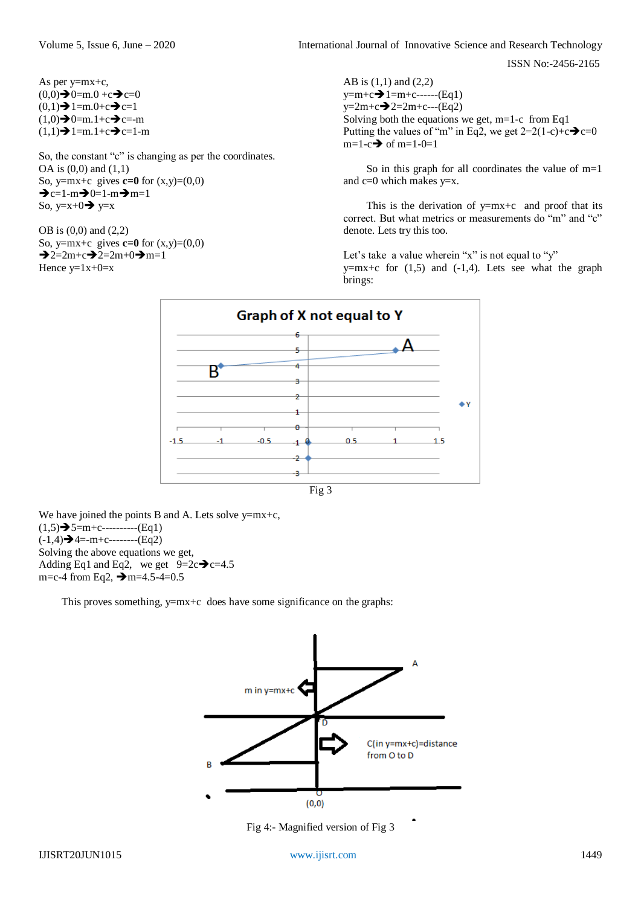ISSN No:-2456-2165

As per y=mx+c,  $(0,0) \rightarrow 0=m.0 +c \rightarrow c=0$  $(0,1) \rightarrow 1$ =m.0+c $\rightarrow$ c=1  $(1,0) \rightarrow 0$ =m.1+c $\rightarrow$ c=-m  $(1,1) \rightarrow 1$ =m.1+c $\rightarrow$ c=1-m

So, the constant "c" is changing as per the coordinates. OA is (0,0) and (1,1) So, y=mx+c gives **c=0** for  $(x,y)=(0,0)$  $\rightarrow c=1-m \rightarrow 0=1-m \rightarrow m=1$ So,  $y=x+0 \rightarrow y=x$ 

OB is (0,0) and (2,2) So, y=mx+c gives **c=0** for  $(x,y)=(0,0)$  $\rightarrow$ 2=2m+c $\rightarrow$ 2=2m+0 $\rightarrow$ m=1 Hence  $y=1x+0=x$ 

AB is (1,1) and (2,2)  $y=m+c$  = 1=m+c------(Eq1)  $y=2m+c-2=2m+c---(Eq2)$ Solving both the equations we get,  $m=1-c$  from Eq1 Putting the values of "m" in Eq2, we get  $2=2(1-c)+c$   $\rightarrow$   $c=0$  $m=1-c \rightarrow \text{of } m=1-0=1$ 

So in this graph for all coordinates the value of m=1 and  $c=0$  which makes  $y=x$ .

This is the derivation of  $y=mx+c$  and proof that its correct. But what metrics or measurements do "m" and "c" denote. Lets try this too.

Let's take a value wherein "x" is not equal to "y"  $y=mx+c$  for  $(1,5)$  and  $(-1,4)$ . Lets see what the graph brings:



We have joined the points B and A. Lets solve  $y=mx+c$ ,  $(1,5) \rightarrow 5=m+c$ -----------(Eq1)  $(-1,4) \rightarrow 4$ =-m+c-------- $(Eq2)$ Solving the above equations we get, Adding Eq1 and Eq2, we get  $9=2c \rightarrow c=4.5$ m=c-4 from Eq2,  $\rightarrow$  m=4.5-4=0.5

This proves something,  $y=mx+c$  does have some significance on the graphs:



Fig 4:- Magnified version of Fig 3